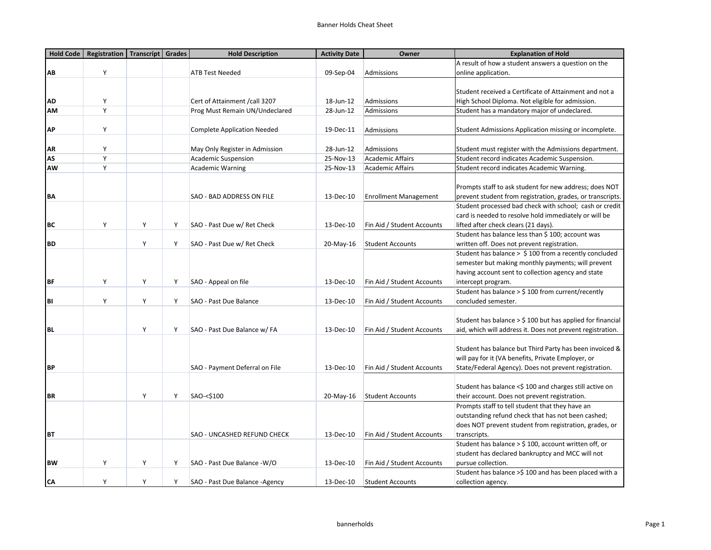| Hold Code | <b>Registration   Transcript  </b> |   | Grades | <b>Hold Description</b>            | <b>Activity Date</b> | Owner                        | <b>Explanation of Hold</b>                                   |
|-----------|------------------------------------|---|--------|------------------------------------|----------------------|------------------------------|--------------------------------------------------------------|
|           |                                    |   |        |                                    |                      |                              | A result of how a student answers a question on the          |
| AB        | Y                                  |   |        | <b>ATB Test Needed</b>             | 09-Sep-04            | Admissions                   | online application.                                          |
|           |                                    |   |        |                                    |                      |                              |                                                              |
|           |                                    |   |        |                                    |                      |                              | Student received a Certificate of Attainment and not a       |
| ΛD        | Y                                  |   |        | Cert of Attainment / call 3207     | 18-Jun-12            | Admissions                   | High School Diploma. Not eligible for admission.             |
| <b>AM</b> | Y                                  |   |        | Prog Must Remain UN/Undeclared     | 28-Jun-12            | Admissions                   | Student has a mandatory major of undeclared.                 |
|           |                                    |   |        |                                    |                      |                              |                                                              |
| АP        | Y                                  |   |        | <b>Complete Application Needed</b> | 19-Dec-11            | Admissions                   | Student Admissions Application missing or incomplete.        |
|           |                                    |   |        |                                    |                      |                              |                                                              |
| ΛR        | Y                                  |   |        | May Only Register in Admission     | 28-Jun-12            | Admissions                   | Student must register with the Admissions department.        |
| AS        | Y                                  |   |        | <b>Academic Suspension</b>         | 25-Nov-13            | <b>Academic Affairs</b>      | Student record indicates Academic Suspension.                |
| AW        | Y                                  |   |        | <b>Academic Warning</b>            | 25-Nov-13            | <b>Academic Affairs</b>      | Student record indicates Academic Warning.                   |
|           |                                    |   |        |                                    |                      |                              |                                                              |
|           |                                    |   |        |                                    |                      |                              | Prompts staff to ask student for new address; does NOT       |
| BΛ        |                                    |   |        | SAO - BAD ADDRESS ON FILE          | 13-Dec-10            | <b>Enrollment Management</b> | prevent student from registration, grades, or transcripts.   |
|           |                                    |   |        |                                    |                      |                              | Student processed bad check with school; cash or credit      |
|           |                                    |   |        |                                    |                      |                              | card is needed to resolve hold immediately or will be        |
| BC        | Y                                  | Y | Υ      | SAO - Past Due w/ Ret Check        | 13-Dec-10            | Fin Aid / Student Accounts   | lifted after check clears (21 days).                         |
|           |                                    |   |        |                                    |                      |                              | Student has balance less than \$ 100; account was            |
| <b>BD</b> |                                    | Y | Υ      | SAO - Past Due w/ Ret Check        | 20-May-16            | <b>Student Accounts</b>      | written off. Does not prevent registration.                  |
|           |                                    |   |        |                                    |                      |                              | Student has balance $>$ \$ 100 from a recently concluded     |
|           |                                    |   |        |                                    |                      |                              | semester but making monthly payments; will prevent           |
|           |                                    |   |        |                                    |                      |                              | having account sent to collection agency and state           |
| <b>BF</b> | Y                                  | Y | Y      | SAO - Appeal on file               | 13-Dec-10            | Fin Aid / Student Accounts   | intercept program.                                           |
|           |                                    |   |        |                                    |                      |                              | Student has balance > \$ 100 from current/recently           |
| BI        | Y                                  | Y | Υ      | SAO - Past Due Balance             | 13-Dec-10            | Fin Aid / Student Accounts   | concluded semester.                                          |
|           |                                    |   |        |                                    |                      |                              |                                                              |
|           |                                    |   |        |                                    |                      |                              | Student has balance $>$ \$ 100 but has applied for financial |
| <b>BL</b> |                                    | Y | Υ      | SAO - Past Due Balance w/ FA       | 13-Dec-10            | Fin Aid / Student Accounts   | aid, which will address it. Does not prevent registration.   |
|           |                                    |   |        |                                    |                      |                              |                                                              |
|           |                                    |   |        |                                    |                      |                              | Student has balance but Third Party has been invoiced &      |
|           |                                    |   |        |                                    |                      |                              | will pay for it (VA benefits, Private Employer, or           |
| <b>BP</b> |                                    |   |        | SAO - Payment Deferral on File     | 13-Dec-10            | Fin Aid / Student Accounts   | State/Federal Agency). Does not prevent registration.        |
|           |                                    |   |        |                                    |                      |                              |                                                              |
|           |                                    |   |        |                                    |                      |                              | Student has balance <\$ 100 and charges still active on      |
|           |                                    |   |        |                                    |                      |                              |                                                              |
| <b>BR</b> |                                    | Y | Y      | SAO-<\$100                         | 20-May-16            | <b>Student Accounts</b>      | their account. Does not prevent registration.                |
|           |                                    |   |        |                                    |                      |                              | Prompts staff to tell student that they have an              |
|           |                                    |   |        |                                    |                      |                              | outstanding refund check that has not been cashed;           |
|           |                                    |   |        |                                    |                      |                              | does NOT prevent student from registration, grades, or       |
| <b>BT</b> |                                    |   |        | SAO - UNCASHED REFUND CHECK        | 13-Dec-10            | Fin Aid / Student Accounts   | transcripts.                                                 |
|           |                                    |   |        |                                    |                      |                              | Student has balance $>$ \$ 100, account written off, or      |
|           |                                    |   |        |                                    |                      |                              | student has declared bankruptcy and MCC will not             |
| <b>BW</b> | Υ                                  | Y | Υ      | SAO - Past Due Balance - W/O       | 13-Dec-10            | Fin Aid / Student Accounts   | pursue collection.                                           |
|           |                                    |   |        |                                    |                      |                              | Student has balance >\$100 and has been placed with a        |
| CА        | Y                                  | Y | Y      | SAO - Past Due Balance - Agency    | 13-Dec-10            | <b>Student Accounts</b>      | collection agency.                                           |